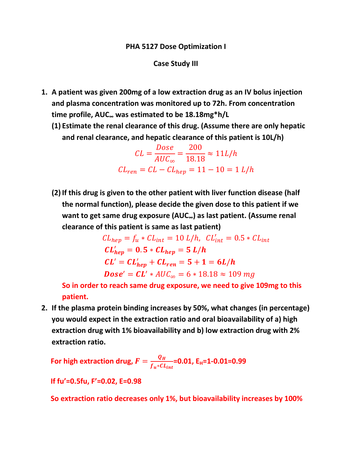#### PHA 5127 Dose Optimization I

#### Case Study III

- 1. A patient was given 200mg of a low extraction drug as an IV bolus injection and plasma concentration was monitored up to 72h. From concentration time profile, AUC∞ was estimated to be 18.18mg\*h/L
	- (1) Estimate the renal clearance of this drug. (Assume there are only hepatic and renal clearance, and hepatic clearance of this patient is 10L/h)

$$
CL = \frac{Dose}{AUC_{\infty}} = \frac{200}{18.18} \approx 11L/h
$$

$$
CL_{ren} = CL - CL_{hep} = 11 - 10 = 1 L/h
$$

(2) If this drug is given to the other patient with liver function disease (half the normal function), please decide the given dose to this patient if we want to get same drug exposure (AUC∞) as last patient. (Assume renal clearance of this patient is same as last patient)

$$
CL_{hep} = f_u * CL_{int} = 10 L/h, CL'_{int} = 0.5 * CL_{int}
$$
  

$$
CL'_{hep} = 0.5 * CL_{hep} = 5 L/h
$$
  

$$
CL' = CL'_{hep} + CL_{ren} = 5 + 1 = 6L/h
$$
  

$$
Dose' = CL' * AUC_{\infty} = 6 * 18.18 \approx 109 mg
$$

So in order to reach same drug exposure, we need to give 109mg to this patient.

2. If the plasma protein binding increases by 50%, what changes (in percentage) you would expect in the extraction ratio and oral bioavailability of a) high extraction drug with 1% bioavailability and b) low extraction drug with 2% extraction ratio.

For high extraction drug,  $F=\dfrac{Q_{H}}{f_{u}*CL_{int}}$ =0.01, E<sub>H</sub>=1-0.01=0.99

If fu'=0.5fu, F'=0.02, E=0.98

So extraction ratio decreases only 1%, but bioavailability increases by 100%